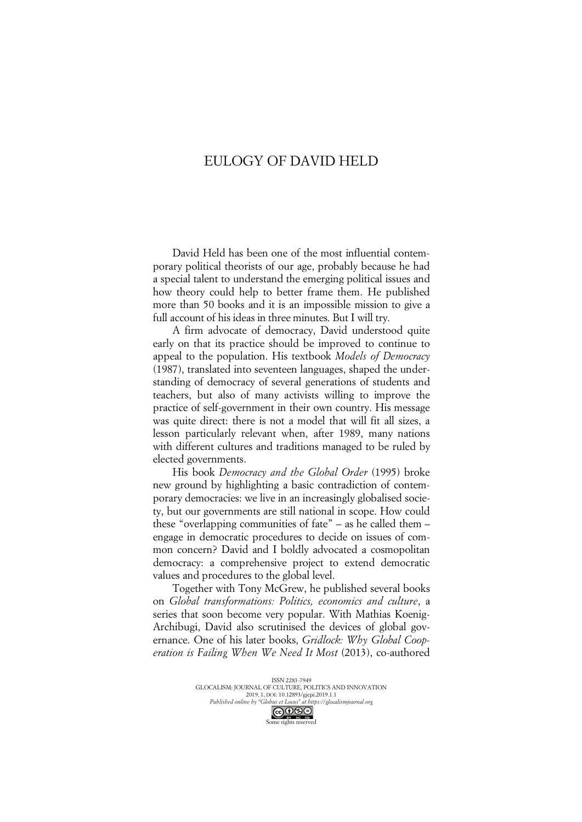## EULOGY OF DAVID HELD

David Held has been one of the most influential contemporary political theorists of our age, probably because he had a special talent to understand the emerging political issues and how theory could help to better frame them. He published more than 50 books and it is an impossible mission to give a full account of his ideas in three minutes. But I will try.

A firm advocate of democracy, David understood quite early on that its practice should be improved to continue to appeal to the population. His textbook *Models of Democracy* (1987), translated into seventeen languages, shaped the understanding of democracy of several generations of students and teachers, but also of many activists willing to improve the practice of self-government in their own country. His message was quite direct: there is not a model that will fit all sizes, a lesson particularly relevant when, after 1989, many nations with different cultures and traditions managed to be ruled by elected governments.

His book *Democracy and the Global Order* (1995) broke new ground by highlighting a basic contradiction of contemporary democracies: we live in an increasingly globalised society, but our governments are still national in scope. How could these "overlapping communities of fate" – as he called them – engage in democratic procedures to decide on issues of common concern? David and I boldly advocated a cosmopolitan democracy: a comprehensive project to extend democratic values and procedures to the global level.

Together with Tony McGrew, he published several books on *Global transformations: Politics, economics and culture*, a series that soon become very popular. With Mathias Koenig-Archibugi, David also scrutinised the devices of global governance. One of his later books, *Gridlock: Why Global Cooperation is Failing When We Need It Most* (2013), co-authored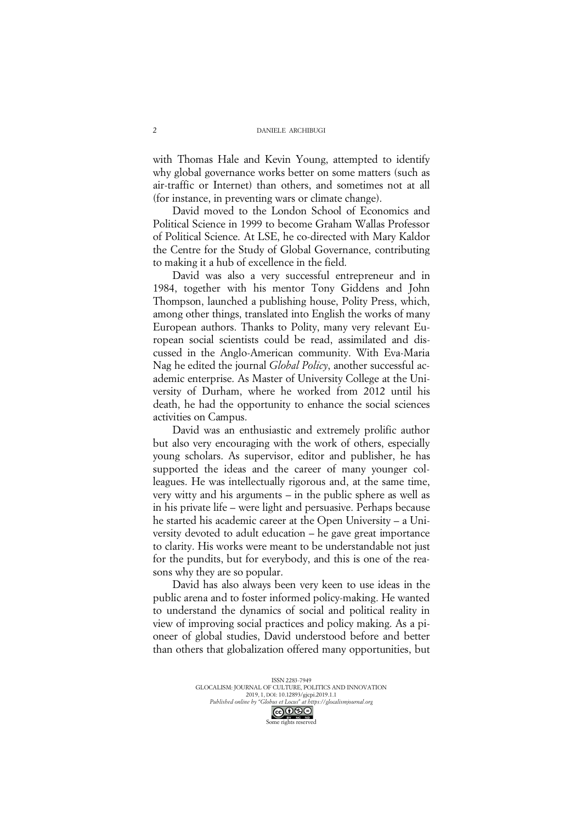with Thomas Hale and Kevin Young, attempted to identify why global governance works better on some matters (such as air-traffic or Internet) than others, and sometimes not at all (for instance, in preventing wars or climate change).

David moved to the London School of Economics and Political Science in 1999 to become Graham Wallas Professor of Political Science. At LSE, he co-directed with Mary Kaldor the Centre for the Study of Global Governance, contributing to making it a hub of excellence in the field.

David was also a very successful entrepreneur and in 1984, together with his mentor Tony Giddens and John Thompson, launched a publishing house, Polity Press, which, among other things, translated into English the works of many European authors. Thanks to Polity, many very relevant European social scientists could be read, assimilated and discussed in the Anglo-American community. With Eva-Maria Nag he edited the journal *Global Policy*, another successful academic enterprise. As Master of University College at the University of Durham, where he worked from 2012 until his death, he had the opportunity to enhance the social sciences activities on Campus.

David was an enthusiastic and extremely prolific author but also very encouraging with the work of others, especially young scholars. As supervisor, editor and publisher, he has supported the ideas and the career of many younger colleagues. He was intellectually rigorous and, at the same time, very witty and his arguments – in the public sphere as well as in his private life – were light and persuasive. Perhaps because he started his academic career at the Open University – a University devoted to adult education – he gave great importance to clarity. His works were meant to be understandable not just for the pundits, but for everybody, and this is one of the reasons why they are so popular.

David has also always been very keen to use ideas in the public arena and to foster informed policy-making. He wanted to understand the dynamics of social and political reality in view of improving social practices and policy making. As a pioneer of global studies, David understood before and better than others that globalization offered many opportunities, but